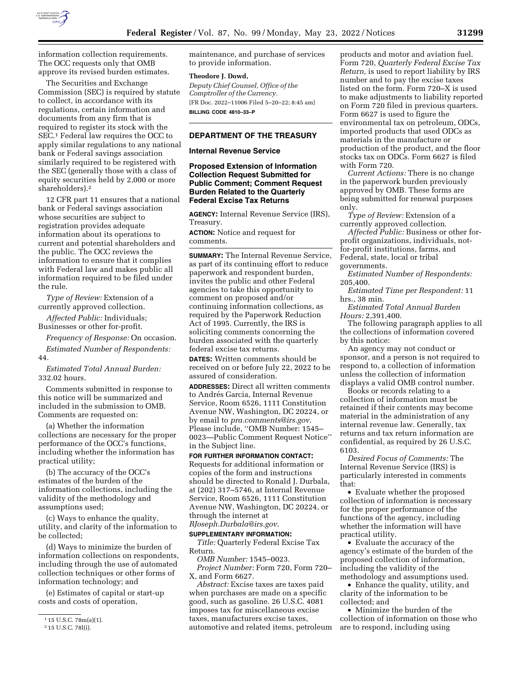

information collection requirements. The OCC requests only that OMB approve its revised burden estimates.

The Securities and Exchange Commission (SEC) is required by statute to collect, in accordance with its regulations, certain information and documents from any firm that is required to register its stock with the SEC.1 Federal law requires the OCC to apply similar regulations to any national bank or Federal savings association similarly required to be registered with the SEC (generally those with a class of equity securities held by 2,000 or more shareholders).2

12 CFR part 11 ensures that a national bank or Federal savings association whose securities are subject to registration provides adequate information about its operations to current and potential shareholders and the public. The OCC reviews the information to ensure that it complies with Federal law and makes public all information required to be filed under the rule.

*Type of Review:* Extension of a currently approved collection.

*Affected Public:* Individuals; Businesses or other for-profit.

*Frequency of Response:* On occasion. *Estimated Number of Respondents:*  44.

*Estimated Total Annual Burden:*  332.02 hours.

Comments submitted in response to this notice will be summarized and included in the submission to OMB. Comments are requested on:

(a) Whether the information collections are necessary for the proper performance of the OCC's functions, including whether the information has practical utility;

(b) The accuracy of the OCC's estimates of the burden of the information collections, including the validity of the methodology and assumptions used;

(c) Ways to enhance the quality, utility, and clarity of the information to be collected;

(d) Ways to minimize the burden of information collections on respondents, including through the use of automated collection techniques or other forms of information technology; and

(e) Estimates of capital or start-up costs and costs of operation,

maintenance, and purchase of services to provide information.

#### **Theodore J. Dowd,**

*Deputy Chief Counsel, Office of the Comptroller of the Currency.*  [FR Doc. 2022–11006 Filed 5–20–22; 8:45 am] **BILLING CODE 4810–33–P** 

# **DEPARTMENT OF THE TREASURY**

## **Internal Revenue Service**

## **Proposed Extension of Information Collection Request Submitted for Public Comment; Comment Request Burden Related to the Quarterly Federal Excise Tax Returns**

**AGENCY:** Internal Revenue Service (IRS), Treasury.

**ACTION:** Notice and request for comments.

**SUMMARY:** The Internal Revenue Service, as part of its continuing effort to reduce paperwork and respondent burden, invites the public and other Federal agencies to take this opportunity to comment on proposed and/or continuing information collections, as required by the Paperwork Reduction Act of 1995. Currently, the IRS is soliciting comments concerning the burden associated with the quarterly federal excise tax returns.

**DATES:** Written comments should be received on or before July 22, 2022 to be assured of consideration.

**ADDRESSES:** Direct all written comments to Andrés Garcia, Internal Revenue Service, Room 6526, 1111 Constitution Avenue NW, Washington, DC 20224, or by email to *[pra.comments@irs.gov.](mailto:pra.comments@irs.gov)*  Please include, ''OMB Number: 1545– 0023—Public Comment Request Notice'' in the Subject line.

**FOR FURTHER INFORMATION CONTACT:**  Requests for additional information or copies of the form and instructions should be directed to Ronald J. Durbala, at (202) 317–5746, at Internal Revenue Service, Room 6526, 1111 Constitution Avenue NW, Washington, DC 20224, or through the internet at *[RJoseph.Durbala@irs.gov.](mailto:RJoseph.Durbala@irs.gov)* 

#### **SUPPLEMENTARY INFORMATION:**

*Title:* Quarterly Federal Excise Tax Return.

*OMB Number:* 1545–0023. *Project Number:* Form 720, Form 720– X, and Form 6627.

*Abstract:* Excise taxes are taxes paid when purchases are made on a specific good, such as gasoline. 26 U.S.C. 4081 imposes tax for miscellaneous excise taxes, manufacturers excise taxes, automotive and related items, petroleum

products and motor and aviation fuel. Form 720, *Quarterly Federal Excise Tax Return,* is used to report liability by IRS number and to pay the excise taxes listed on the form. Form 720–X is used to make adjustments to liability reported on Form 720 filed in previous quarters. Form 6627 is used to figure the environmental tax on petroleum, ODCs, imported products that used ODCs as materials in the manufacture or production of the product, and the floor stocks tax on ODCs. Form 6627 is filed with Form 720.

*Current Actions:* There is no change in the paperwork burden previously approved by OMB. These forms are being submitted for renewal purposes only.

*Type of Review:* Extension of a currently approved collection.

*Affected Public:* Business or other forprofit organizations, individuals, notfor-profit institutions, farms, and Federal, state, local or tribal governments.

*Estimated Number of Respondents:*  205,400.

*Estimated Time per Respondent:* 11 hrs., 38 min.

*Estimated Total Annual Burden Hours:* 2,391,400.

The following paragraph applies to all the collections of information covered by this notice:

An agency may not conduct or sponsor, and a person is not required to respond to, a collection of information unless the collection of information displays a valid OMB control number.

Books or records relating to a collection of information must be retained if their contents may become material in the administration of any internal revenue law. Generally, tax returns and tax return information are confidential, as required by 26 U.S.C. 6103.

*Desired Focus of Comments:* The Internal Revenue Service (IRS) is particularly interested in comments that:

• Evaluate whether the proposed collection of information is necessary for the proper performance of the functions of the agency, including whether the information will have practical utility.

• Evaluate the accuracy of the agency's estimate of the burden of the proposed collection of information, including the validity of the methodology and assumptions used.

• Enhance the quality, utility, and clarity of the information to be collected; and

• Minimize the burden of the collection of information on those who are to respond, including using

<sup>1</sup> 15 U.S.C. 78m(a)(1).

<sup>2</sup> 15 U.S.C. 78l(i).